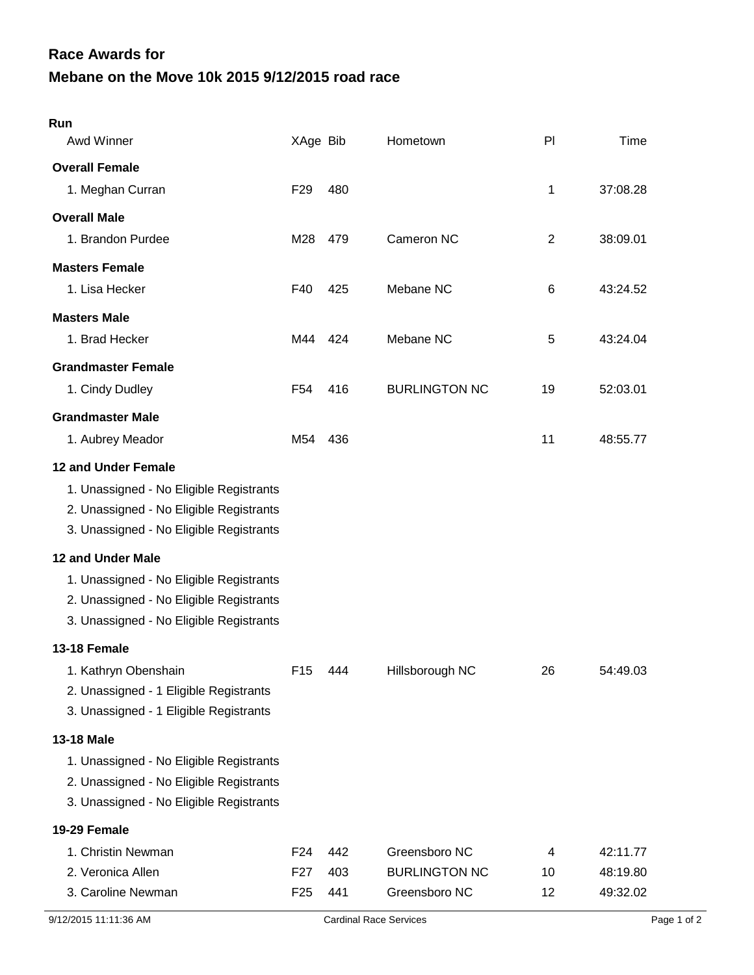## **Mebane on the Move 10k 2015 9/12/2015 road race Race Awards for**

| Run                                                                                                                                                                                                                                                                                                        |                 |     |                      |                |          |
|------------------------------------------------------------------------------------------------------------------------------------------------------------------------------------------------------------------------------------------------------------------------------------------------------------|-----------------|-----|----------------------|----------------|----------|
| Awd Winner                                                                                                                                                                                                                                                                                                 | XAge Bib        |     | Hometown             | PI             | Time     |
| <b>Overall Female</b>                                                                                                                                                                                                                                                                                      |                 |     |                      |                |          |
| 1. Meghan Curran                                                                                                                                                                                                                                                                                           | F <sub>29</sub> | 480 |                      | 1              | 37:08.28 |
| <b>Overall Male</b>                                                                                                                                                                                                                                                                                        |                 |     |                      |                |          |
| 1. Brandon Purdee                                                                                                                                                                                                                                                                                          | M28             | 479 | Cameron NC           | $\overline{2}$ | 38:09.01 |
| <b>Masters Female</b>                                                                                                                                                                                                                                                                                      |                 |     |                      |                |          |
| 1. Lisa Hecker                                                                                                                                                                                                                                                                                             | F40             | 425 | Mebane NC            | 6              | 43:24.52 |
| <b>Masters Male</b>                                                                                                                                                                                                                                                                                        |                 |     |                      |                |          |
| 1. Brad Hecker                                                                                                                                                                                                                                                                                             | M44             | 424 | Mebane NC            | 5              | 43:24.04 |
| <b>Grandmaster Female</b>                                                                                                                                                                                                                                                                                  |                 |     |                      |                |          |
| 1. Cindy Dudley                                                                                                                                                                                                                                                                                            | F54             | 416 | <b>BURLINGTON NC</b> | 19             | 52:03.01 |
| <b>Grandmaster Male</b>                                                                                                                                                                                                                                                                                    |                 |     |                      |                |          |
| 1. Aubrey Meador                                                                                                                                                                                                                                                                                           | M54             | 436 |                      | 11             | 48:55.77 |
| 12 and Under Female<br>1. Unassigned - No Eligible Registrants<br>2. Unassigned - No Eligible Registrants<br>3. Unassigned - No Eligible Registrants<br>12 and Under Male<br>1. Unassigned - No Eligible Registrants<br>2. Unassigned - No Eligible Registrants<br>3. Unassigned - No Eligible Registrants |                 |     |                      |                |          |
| 13-18 Female                                                                                                                                                                                                                                                                                               |                 |     |                      |                |          |
| 1. Kathryn Obenshain<br>2. Unassigned - 1 Eligible Registrants<br>3. Unassigned - 1 Eligible Registrants                                                                                                                                                                                                   | F <sub>15</sub> | 444 | Hillsborough NC      | 26             | 54:49.03 |
| 13-18 Male                                                                                                                                                                                                                                                                                                 |                 |     |                      |                |          |
| 1. Unassigned - No Eligible Registrants<br>2. Unassigned - No Eligible Registrants<br>3. Unassigned - No Eligible Registrants                                                                                                                                                                              |                 |     |                      |                |          |
| 19-29 Female                                                                                                                                                                                                                                                                                               |                 |     |                      |                |          |
| 1. Christin Newman                                                                                                                                                                                                                                                                                         | F24             | 442 | Greensboro NC        | 4              | 42:11.77 |
| 2. Veronica Allen                                                                                                                                                                                                                                                                                          | F <sub>27</sub> | 403 | <b>BURLINGTON NC</b> | 10             | 48:19.80 |
| 3. Caroline Newman                                                                                                                                                                                                                                                                                         | F <sub>25</sub> | 441 | Greensboro NC        | 12             | 49:32.02 |